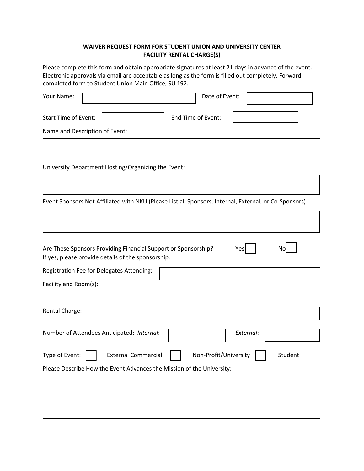## **WAIVER REQUEST FORM FOR STUDENT UNION AND UNIVERSITY CENTER FACILITY RENTAL CHARGE(S)**

Please complete this form and obtain appropriate signatures at least 21 days in advance of the event. Electronic approvals via email are acceptable as long as the form is filled out completely. Forward completed form to Student Union Main Office, SU 192.

| Your Name:                                                                                                                        | Date of Event:                   |
|-----------------------------------------------------------------------------------------------------------------------------------|----------------------------------|
| <b>Start Time of Event:</b><br>End Time of Event:<br>Name and Description of Event:                                               |                                  |
|                                                                                                                                   |                                  |
| University Department Hosting/Organizing the Event:                                                                               |                                  |
|                                                                                                                                   |                                  |
| Event Sponsors Not Affiliated with NKU (Please List all Sponsors, Internal, External, or Co-Sponsors)                             |                                  |
|                                                                                                                                   |                                  |
| Are These Sponsors Providing Financial Support or Sponsorship?<br>Yes<br>No<br>If yes, please provide details of the sponsorship. |                                  |
| Registration Fee for Delegates Attending:                                                                                         |                                  |
| Facility and Room(s):                                                                                                             |                                  |
| Rental Charge:                                                                                                                    |                                  |
| Number of Attendees Anticipated: Internal:                                                                                        | External:                        |
| Type of Event:<br><b>External Commercial</b>                                                                                      | Non-Profit/University<br>Student |
| Please Describe How the Event Advances the Mission of the University:                                                             |                                  |
|                                                                                                                                   |                                  |
|                                                                                                                                   |                                  |
|                                                                                                                                   |                                  |